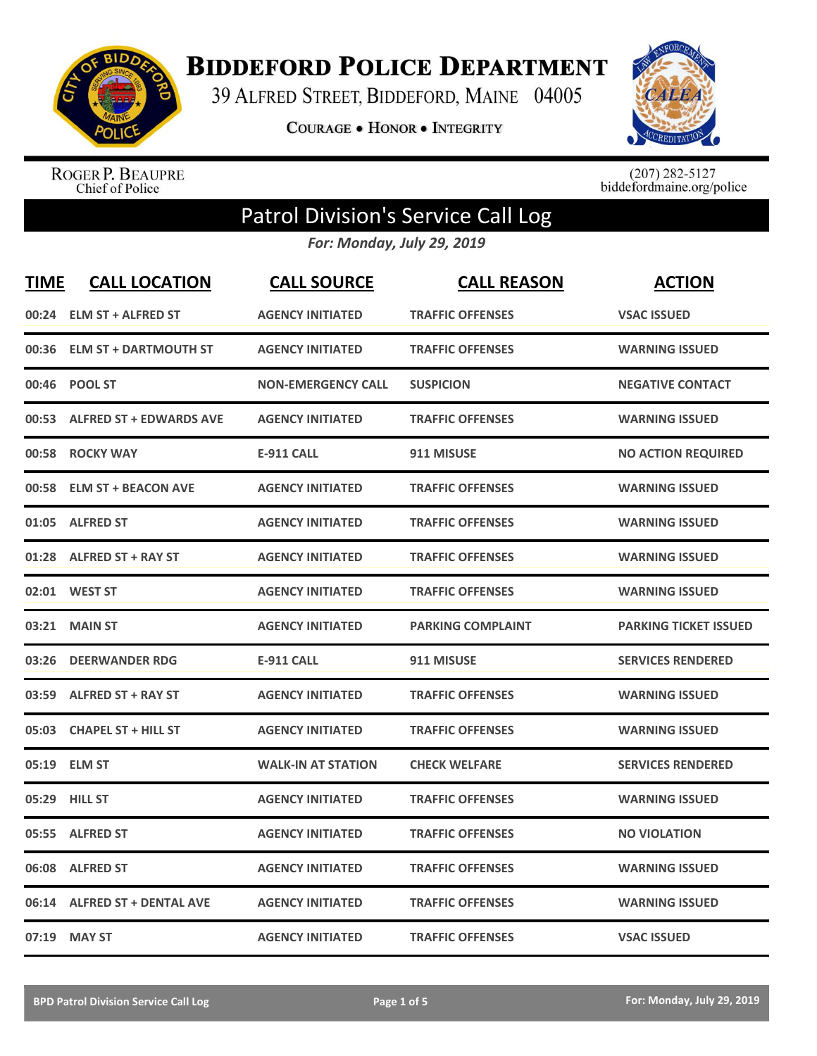

**BIDDEFORD POLICE DEPARTMENT** 

39 ALFRED STREET, BIDDEFORD, MAINE 04005

COURAGE . HONOR . INTEGRITY



ROGER P. BEAUPRE<br>Chief of Police

 $(207)$  282-5127<br>biddefordmaine.org/police

## Patrol Division's Service Call Log

*For: Monday, July 29, 2019*

| <b>TIME</b> | <b>CALL LOCATION</b>           | <b>CALL SOURCE</b>        | <b>CALL REASON</b>       | <b>ACTION</b>                |
|-------------|--------------------------------|---------------------------|--------------------------|------------------------------|
|             | 00:24 ELM ST + ALFRED ST       | <b>AGENCY INITIATED</b>   | <b>TRAFFIC OFFENSES</b>  | <b>VSAC ISSUED</b>           |
| 00:36       | <b>ELM ST + DARTMOUTH ST</b>   | <b>AGENCY INITIATED</b>   | <b>TRAFFIC OFFENSES</b>  | <b>WARNING ISSUED</b>        |
| 00:46       | <b>POOL ST</b>                 | <b>NON-EMERGENCY CALL</b> | <b>SUSPICION</b>         | <b>NEGATIVE CONTACT</b>      |
| 00:53       | <b>ALFRED ST + EDWARDS AVE</b> | <b>AGENCY INITIATED</b>   | <b>TRAFFIC OFFENSES</b>  | <b>WARNING ISSUED</b>        |
| 00:58       | <b>ROCKY WAY</b>               | <b>E-911 CALL</b>         | 911 MISUSE               | <b>NO ACTION REQUIRED</b>    |
|             | 00:58 ELM ST + BEACON AVE      | <b>AGENCY INITIATED</b>   | <b>TRAFFIC OFFENSES</b>  | <b>WARNING ISSUED</b>        |
|             | 01:05 ALFRED ST                | <b>AGENCY INITIATED</b>   | <b>TRAFFIC OFFENSES</b>  | <b>WARNING ISSUED</b>        |
| 01:28       | <b>ALFRED ST + RAY ST</b>      | <b>AGENCY INITIATED</b>   | <b>TRAFFIC OFFENSES</b>  | <b>WARNING ISSUED</b>        |
| 02:01       | <b>WEST ST</b>                 | <b>AGENCY INITIATED</b>   | <b>TRAFFIC OFFENSES</b>  | <b>WARNING ISSUED</b>        |
| 03:21       | <b>MAIN ST</b>                 | <b>AGENCY INITIATED</b>   | <b>PARKING COMPLAINT</b> | <b>PARKING TICKET ISSUED</b> |
|             | 03:26 DEERWANDER RDG           | <b>E-911 CALL</b>         | 911 MISUSE               | <b>SERVICES RENDERED</b>     |
| 03:59       | <b>ALFRED ST + RAY ST</b>      | <b>AGENCY INITIATED</b>   | <b>TRAFFIC OFFENSES</b>  | <b>WARNING ISSUED</b>        |
| 05:03       | <b>CHAPEL ST + HILL ST</b>     | <b>AGENCY INITIATED</b>   | <b>TRAFFIC OFFENSES</b>  | <b>WARNING ISSUED</b>        |
| 05:19       | <b>ELM ST</b>                  | <b>WALK-IN AT STATION</b> | <b>CHECK WELFARE</b>     | <b>SERVICES RENDERED</b>     |
| 05:29       | <b>HILL ST</b>                 | <b>AGENCY INITIATED</b>   | <b>TRAFFIC OFFENSES</b>  | <b>WARNING ISSUED</b>        |
|             | 05:55 ALFRED ST                | <b>AGENCY INITIATED</b>   | <b>TRAFFIC OFFENSES</b>  | <b>NO VIOLATION</b>          |
| 06:08       | <b>ALFRED ST</b>               | <b>AGENCY INITIATED</b>   | <b>TRAFFIC OFFENSES</b>  | <b>WARNING ISSUED</b>        |
| 06:14       | <b>ALFRED ST + DENTAL AVE</b>  | <b>AGENCY INITIATED</b>   | <b>TRAFFIC OFFENSES</b>  | <b>WARNING ISSUED</b>        |
|             | 07:19 MAY ST                   | <b>AGENCY INITIATED</b>   | <b>TRAFFIC OFFENSES</b>  | <b>VSAC ISSUED</b>           |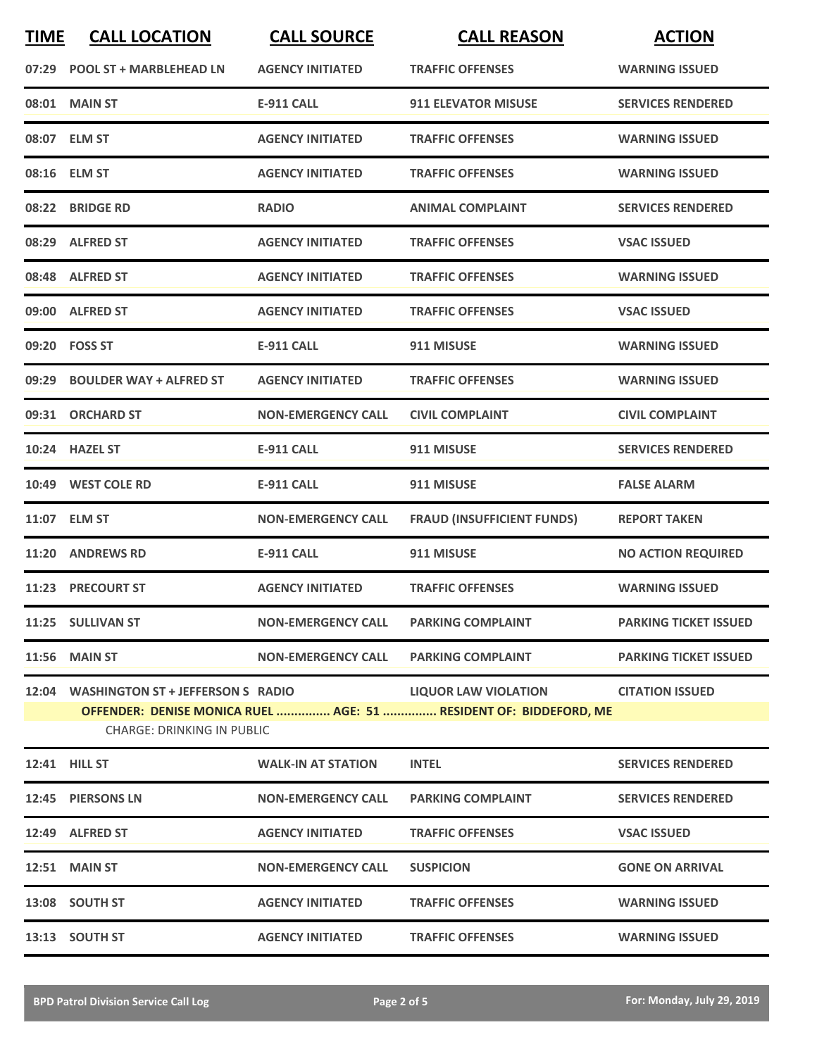| <b>TIME</b> | <b>CALL LOCATION</b>                                                                            | <b>CALL SOURCE</b>                   | <b>CALL REASON</b>                   | <b>ACTION</b>                |  |
|-------------|-------------------------------------------------------------------------------------------------|--------------------------------------|--------------------------------------|------------------------------|--|
|             | 07:29 POOL ST + MARBLEHEAD LN                                                                   | <b>AGENCY INITIATED</b>              | <b>TRAFFIC OFFENSES</b>              | <b>WARNING ISSUED</b>        |  |
|             | 08:01 MAIN ST                                                                                   | <b>E-911 CALL</b>                    | <b>911 ELEVATOR MISUSE</b>           | <b>SERVICES RENDERED</b>     |  |
|             | 08:07 ELM ST                                                                                    | <b>AGENCY INITIATED</b>              | <b>TRAFFIC OFFENSES</b>              | <b>WARNING ISSUED</b>        |  |
|             | 08:16 ELM ST                                                                                    | <b>AGENCY INITIATED</b>              | <b>TRAFFIC OFFENSES</b>              | <b>WARNING ISSUED</b>        |  |
|             | 08:22 BRIDGE RD                                                                                 | <b>RADIO</b>                         | <b>ANIMAL COMPLAINT</b>              | <b>SERVICES RENDERED</b>     |  |
|             | 08:29 ALFRED ST                                                                                 | <b>AGENCY INITIATED</b>              | <b>TRAFFIC OFFENSES</b>              | <b>VSAC ISSUED</b>           |  |
|             | 08:48 ALFRED ST                                                                                 | <b>AGENCY INITIATED</b>              | <b>TRAFFIC OFFENSES</b>              | <b>WARNING ISSUED</b>        |  |
|             | 09:00 ALFRED ST                                                                                 | <b>AGENCY INITIATED</b>              | <b>TRAFFIC OFFENSES</b>              | <b>VSAC ISSUED</b>           |  |
|             | 09:20 FOSS ST                                                                                   | <b>E-911 CALL</b>                    | 911 MISUSE                           | <b>WARNING ISSUED</b>        |  |
|             | 09:29 BOULDER WAY + ALFRED ST                                                                   | <b>AGENCY INITIATED</b>              | <b>TRAFFIC OFFENSES</b>              | <b>WARNING ISSUED</b>        |  |
|             | 09:31 ORCHARD ST                                                                                | <b>NON-EMERGENCY CALL</b>            | <b>CIVIL COMPLAINT</b>               | <b>CIVIL COMPLAINT</b>       |  |
|             | 10:24 HAZEL ST                                                                                  | <b>E-911 CALL</b>                    | 911 MISUSE                           | <b>SERVICES RENDERED</b>     |  |
|             | 10:49 WEST COLE RD                                                                              | <b>E-911 CALL</b>                    | 911 MISUSE                           | <b>FALSE ALARM</b>           |  |
|             | 11:07 ELM ST                                                                                    | <b>NON-EMERGENCY CALL</b>            | <b>FRAUD (INSUFFICIENT FUNDS)</b>    | <b>REPORT TAKEN</b>          |  |
|             | 11:20 ANDREWS RD                                                                                | <b>E-911 CALL</b>                    | 911 MISUSE                           | <b>NO ACTION REQUIRED</b>    |  |
|             | 11:23 PRECOURT ST                                                                               | <b>AGENCY INITIATED</b>              | <b>TRAFFIC OFFENSES</b>              | <b>WARNING ISSUED</b>        |  |
|             | 11:25 SULLIVAN ST                                                                               | NON-EMERGENCY CALL PARKING COMPLAINT |                                      | <b>PARKING TICKET ISSUED</b> |  |
|             | <b>11:56 MAIN ST</b>                                                                            |                                      | NON-EMERGENCY CALL PARKING COMPLAINT | <b>PARKING TICKET ISSUED</b> |  |
|             | 12:04 WASHINGTON ST + JEFFERSON S RADIO                                                         |                                      | <b>LIQUOR LAW VIOLATION</b>          | <b>CITATION ISSUED</b>       |  |
|             | OFFENDER: DENISE MONICA RUEL  AGE: 51  RESIDENT OF: BIDDEFORD, ME<br>CHARGE: DRINKING IN PUBLIC |                                      |                                      |                              |  |
|             | <b>12:41 HILL ST</b>                                                                            | <b>WALK-IN AT STATION</b>            | <b>INTEL</b>                         | <b>SERVICES RENDERED</b>     |  |
|             | 12:45 PIERSONS LN                                                                               | <b>NON-EMERGENCY CALL</b>            | <b>PARKING COMPLAINT</b>             | <b>SERVICES RENDERED</b>     |  |
|             | 12:49 ALFRED ST                                                                                 | <b>AGENCY INITIATED</b>              | <b>TRAFFIC OFFENSES</b>              | <b>VSAC ISSUED</b>           |  |
|             | <b>12:51 MAIN ST</b>                                                                            | <b>NON-EMERGENCY CALL</b>            | <b>SUSPICION</b>                     | <b>GONE ON ARRIVAL</b>       |  |
|             | 13:08 SOUTH ST                                                                                  | <b>AGENCY INITIATED</b>              | <b>TRAFFIC OFFENSES</b>              | <b>WARNING ISSUED</b>        |  |
|             | 13:13 SOUTH ST                                                                                  | <b>AGENCY INITIATED</b>              | <b>TRAFFIC OFFENSES</b>              | <b>WARNING ISSUED</b>        |  |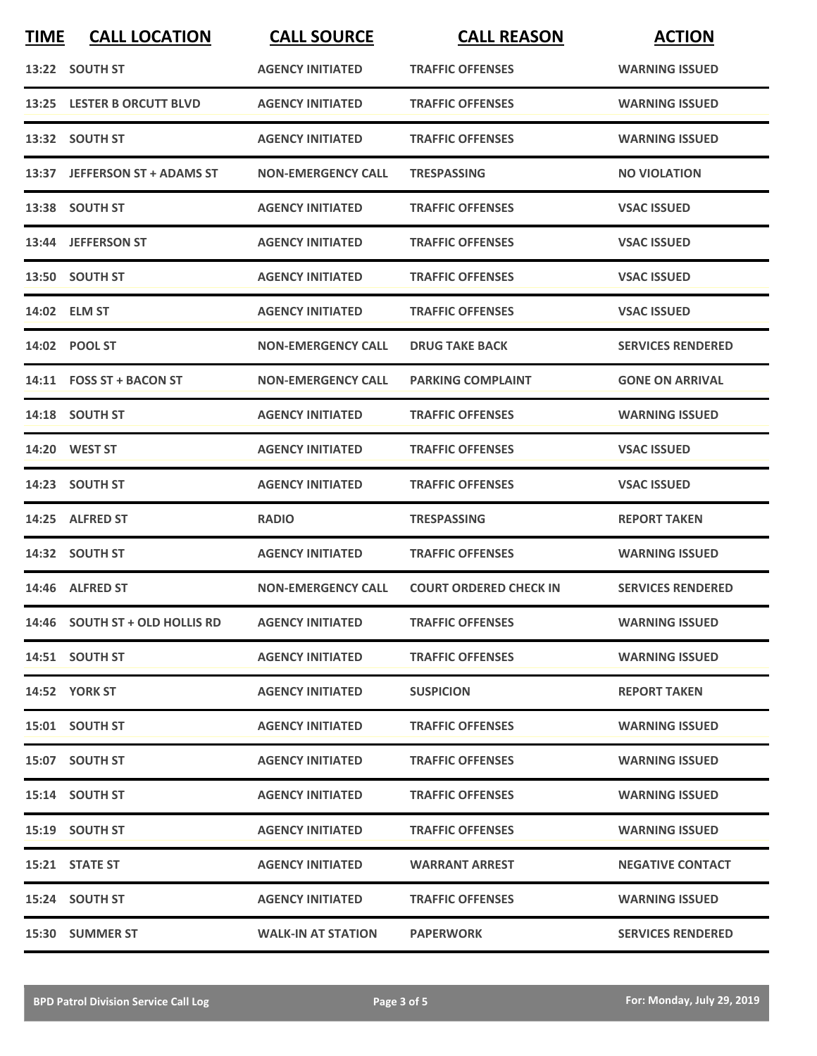| <b>TIME</b> | <b>CALL LOCATION</b>           | <b>CALL SOURCE</b>        | <b>CALL REASON</b>            | <b>ACTION</b>            |
|-------------|--------------------------------|---------------------------|-------------------------------|--------------------------|
|             | 13:22 SOUTH ST                 | <b>AGENCY INITIATED</b>   | <b>TRAFFIC OFFENSES</b>       | <b>WARNING ISSUED</b>    |
|             | 13:25 LESTER B ORCUTT BLVD     | <b>AGENCY INITIATED</b>   | <b>TRAFFIC OFFENSES</b>       | <b>WARNING ISSUED</b>    |
|             | 13:32 SOUTH ST                 | <b>AGENCY INITIATED</b>   | <b>TRAFFIC OFFENSES</b>       | <b>WARNING ISSUED</b>    |
|             | 13:37 JEFFERSON ST + ADAMS ST  | <b>NON-EMERGENCY CALL</b> | <b>TRESPASSING</b>            | <b>NO VIOLATION</b>      |
|             | 13:38 SOUTH ST                 | <b>AGENCY INITIATED</b>   | <b>TRAFFIC OFFENSES</b>       | <b>VSAC ISSUED</b>       |
|             | 13:44 JEFFERSON ST             | <b>AGENCY INITIATED</b>   | <b>TRAFFIC OFFENSES</b>       | <b>VSAC ISSUED</b>       |
|             | 13:50 SOUTH ST                 | <b>AGENCY INITIATED</b>   | <b>TRAFFIC OFFENSES</b>       | <b>VSAC ISSUED</b>       |
|             | 14:02 ELM ST                   | <b>AGENCY INITIATED</b>   | <b>TRAFFIC OFFENSES</b>       | <b>VSAC ISSUED</b>       |
|             | 14:02 POOL ST                  | <b>NON-EMERGENCY CALL</b> | <b>DRUG TAKE BACK</b>         | <b>SERVICES RENDERED</b> |
|             | 14:11 FOSS ST + BACON ST       | <b>NON-EMERGENCY CALL</b> | <b>PARKING COMPLAINT</b>      | <b>GONE ON ARRIVAL</b>   |
|             | 14:18 SOUTH ST                 | <b>AGENCY INITIATED</b>   | <b>TRAFFIC OFFENSES</b>       | <b>WARNING ISSUED</b>    |
|             | 14:20 WEST ST                  | <b>AGENCY INITIATED</b>   | <b>TRAFFIC OFFENSES</b>       | <b>VSAC ISSUED</b>       |
|             | 14:23 SOUTH ST                 | <b>AGENCY INITIATED</b>   | <b>TRAFFIC OFFENSES</b>       | <b>VSAC ISSUED</b>       |
|             | 14:25 ALFRED ST                | <b>RADIO</b>              | <b>TRESPASSING</b>            | <b>REPORT TAKEN</b>      |
|             | 14:32 SOUTH ST                 | <b>AGENCY INITIATED</b>   | <b>TRAFFIC OFFENSES</b>       | <b>WARNING ISSUED</b>    |
|             | 14:46 ALFRED ST                | <b>NON-EMERGENCY CALL</b> | <b>COURT ORDERED CHECK IN</b> | <b>SERVICES RENDERED</b> |
|             | 14:46 SOUTH ST + OLD HOLLIS RD | <b>AGENCY INITIATED</b>   | <b>TRAFFIC OFFENSES</b>       | <b>WARNING ISSUED</b>    |
|             | 14:51 SOUTH ST                 | <b>AGENCY INITIATED</b>   | <b>TRAFFIC OFFENSES</b>       | <b>WARNING ISSUED</b>    |
|             | <b>14:52 YORK ST</b>           | <b>AGENCY INITIATED</b>   | <b>SUSPICION</b>              | <b>REPORT TAKEN</b>      |
|             | 15:01 SOUTH ST                 | <b>AGENCY INITIATED</b>   | <b>TRAFFIC OFFENSES</b>       | <b>WARNING ISSUED</b>    |
|             | 15:07 SOUTH ST                 | <b>AGENCY INITIATED</b>   | <b>TRAFFIC OFFENSES</b>       | <b>WARNING ISSUED</b>    |
|             | 15:14 SOUTH ST                 | <b>AGENCY INITIATED</b>   | <b>TRAFFIC OFFENSES</b>       | <b>WARNING ISSUED</b>    |
|             | 15:19 SOUTH ST                 | <b>AGENCY INITIATED</b>   | <b>TRAFFIC OFFENSES</b>       | <b>WARNING ISSUED</b>    |
|             | 15:21 STATE ST                 | <b>AGENCY INITIATED</b>   | <b>WARRANT ARREST</b>         | <b>NEGATIVE CONTACT</b>  |
|             | 15:24 SOUTH ST                 | <b>AGENCY INITIATED</b>   | <b>TRAFFIC OFFENSES</b>       | <b>WARNING ISSUED</b>    |
|             | 15:30 SUMMER ST                | <b>WALK-IN AT STATION</b> | <b>PAPERWORK</b>              | <b>SERVICES RENDERED</b> |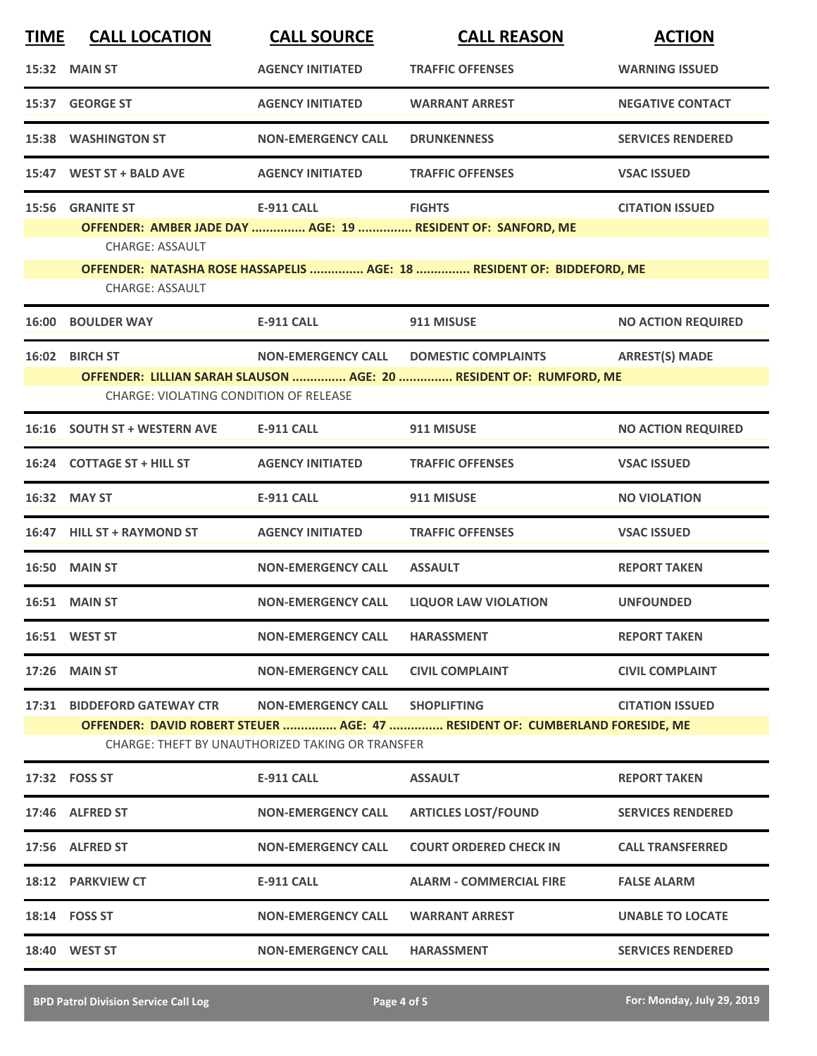| <b>TIME</b> | <b>CALL LOCATION</b>                                                                                                                                                                                                      | <b>CALL SOURCE</b>                                                                 | <b>CALL REASON</b>                                                                                                                                     | <b>ACTION</b>             |
|-------------|---------------------------------------------------------------------------------------------------------------------------------------------------------------------------------------------------------------------------|------------------------------------------------------------------------------------|--------------------------------------------------------------------------------------------------------------------------------------------------------|---------------------------|
|             | 15:32 MAIN ST                                                                                                                                                                                                             | <b>AGENCY INITIATED</b>                                                            | <b>TRAFFIC OFFENSES</b>                                                                                                                                | <b>WARNING ISSUED</b>     |
|             | 15:37 GEORGE ST                                                                                                                                                                                                           | <b>AGENCY INITIATED</b>                                                            | <b>WARRANT ARREST</b>                                                                                                                                  | <b>NEGATIVE CONTACT</b>   |
|             | <b>15:38 WASHINGTON ST</b>                                                                                                                                                                                                | <b>NON-EMERGENCY CALL</b>                                                          | <b>DRUNKENNESS</b>                                                                                                                                     | <b>SERVICES RENDERED</b>  |
|             | 15:47 WEST ST + BALD AVE                                                                                                                                                                                                  | <b>AGENCY INITIATED</b>                                                            | <b>TRAFFIC OFFENSES</b>                                                                                                                                | <b>VSAC ISSUED</b>        |
|             | 15:56 GRANITE ST<br><b>CHARGE: ASSAULT</b>                                                                                                                                                                                | <b>E-911 CALL</b>                                                                  | <b>FIGHTS</b><br>OFFENDER: AMBER JADE DAY  AGE: 19  RESIDENT OF: SANFORD, ME<br>OFFENDER: NATASHA ROSE HASSAPELIS  AGE: 18  RESIDENT OF: BIDDEFORD, ME | <b>CITATION ISSUED</b>    |
|             | <b>CHARGE: ASSAULT</b>                                                                                                                                                                                                    |                                                                                    |                                                                                                                                                        |                           |
|             | <b>16:00 BOULDER WAY</b>                                                                                                                                                                                                  | <b>E-911 CALL</b>                                                                  | 911 MISUSE                                                                                                                                             | <b>NO ACTION REQUIRED</b> |
|             | <b>ARREST(S) MADE</b><br>16:02 BIRCH ST<br><b>NON-EMERGENCY CALL</b><br><b>DOMESTIC COMPLAINTS</b><br>OFFENDER: LILLIAN SARAH SLAUSON  AGE: 20  RESIDENT OF: RUMFORD, ME<br><b>CHARGE: VIOLATING CONDITION OF RELEASE</b> |                                                                                    |                                                                                                                                                        |                           |
|             | 16:16 SOUTH ST + WESTERN AVE                                                                                                                                                                                              | E-911 CALL                                                                         | 911 MISUSE                                                                                                                                             | <b>NO ACTION REQUIRED</b> |
|             | 16:24 COTTAGE ST + HILL ST                                                                                                                                                                                                | <b>AGENCY INITIATED</b>                                                            | <b>TRAFFIC OFFENSES</b>                                                                                                                                | <b>VSAC ISSUED</b>        |
|             | 16:32 MAY ST                                                                                                                                                                                                              | <b>E-911 CALL</b>                                                                  | 911 MISUSE                                                                                                                                             | <b>NO VIOLATION</b>       |
|             | 16:47 HILL ST + RAYMOND ST                                                                                                                                                                                                | <b>AGENCY INITIATED</b>                                                            | <b>TRAFFIC OFFENSES</b>                                                                                                                                | <b>VSAC ISSUED</b>        |
|             | <b>16:50 MAIN ST</b>                                                                                                                                                                                                      | <b>NON-EMERGENCY CALL</b>                                                          | <b>ASSAULT</b>                                                                                                                                         | <b>REPORT TAKEN</b>       |
|             | 16:51 MAIN ST                                                                                                                                                                                                             | <b>NON-EMERGENCY CALL</b>                                                          | <b>LIQUOR LAW VIOLATION</b>                                                                                                                            | <b>UNFOUNDED</b>          |
|             | <b>16:51 WEST ST</b>                                                                                                                                                                                                      | <b>NON-EMERGENCY CALL</b>                                                          | <b>HARASSMENT</b>                                                                                                                                      | <b>REPORT TAKEN</b>       |
|             | <b>17:26 MAIN ST</b>                                                                                                                                                                                                      | <b>NON-EMERGENCY CALL</b>                                                          | <b>CIVIL COMPLAINT</b>                                                                                                                                 | <b>CIVIL COMPLAINT</b>    |
|             | 17:31 BIDDEFORD GATEWAY CTR                                                                                                                                                                                               | NON-EMERGENCY CALL SHOPLIFTING<br>CHARGE: THEFT BY UNAUTHORIZED TAKING OR TRANSFER | OFFENDER: DAVID ROBERT STEUER  AGE: 47  RESIDENT OF: CUMBERLAND FORESIDE, ME                                                                           | <b>CITATION ISSUED</b>    |
|             | 17:32 FOSS ST                                                                                                                                                                                                             | E-911 CALL                                                                         | <b>ASSAULT</b>                                                                                                                                         | <b>REPORT TAKEN</b>       |
|             | 17:46 ALFRED ST                                                                                                                                                                                                           | <b>NON-EMERGENCY CALL</b>                                                          | <b>ARTICLES LOST/FOUND</b>                                                                                                                             | <b>SERVICES RENDERED</b>  |
|             | 17:56 ALFRED ST                                                                                                                                                                                                           | <b>NON-EMERGENCY CALL</b>                                                          | <b>COURT ORDERED CHECK IN</b>                                                                                                                          | <b>CALL TRANSFERRED</b>   |
|             | 18:12 PARKVIEW CT                                                                                                                                                                                                         | E-911 CALL                                                                         | <b>ALARM - COMMERCIAL FIRE</b>                                                                                                                         | <b>FALSE ALARM</b>        |
|             | 18:14 FOSS ST                                                                                                                                                                                                             | <b>NON-EMERGENCY CALL</b>                                                          | <b>WARRANT ARREST</b>                                                                                                                                  | <b>UNABLE TO LOCATE</b>   |
|             | 18:40 WEST ST                                                                                                                                                                                                             | <b>NON-EMERGENCY CALL</b>                                                          | <b>HARASSMENT</b>                                                                                                                                      | <b>SERVICES RENDERED</b>  |